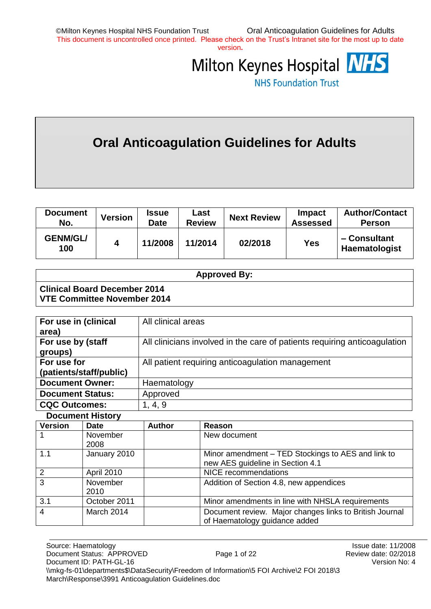version**.**



**NHS Foundation Trust** 

# **Oral Anticoagulation Guidelines for Adults**

| <b>Document</b><br>No. | <b>Version</b> | <b>Issue</b><br>Date | Last<br><b>Review</b> | <b>Next Review</b> | Impact<br><b>Assessed</b> | <b>Author/Contact</b><br><b>Person</b> |
|------------------------|----------------|----------------------|-----------------------|--------------------|---------------------------|----------------------------------------|
| <b>GENM/GL/</b><br>100 | 4              | 11/2008              | 11/2014               | 02/2018            | Yes                       | - Consultant<br>Haematologist          |

**N.B. This document must not be altered under any circumstance without prior approval** 

|                                                                    | <b>Approved By:</b> |
|--------------------------------------------------------------------|---------------------|
| <b>Clinical Board December 2014</b><br>VTE Committee November 2014 |                     |

| For use in (clinical    | All clinical areas                                                        |
|-------------------------|---------------------------------------------------------------------------|
| area)                   |                                                                           |
| For use by (staff       | All clinicians involved in the care of patients requiring anticoagulation |
| groups)                 |                                                                           |
| For use for             | All patient requiring anticoagulation management                          |
| (patients/staff/public) |                                                                           |
| <b>Document Owner:</b>  | Haematology                                                               |
| <b>Document Status:</b> | Approved                                                                  |
| <b>CQC Outcomes:</b>    | 1, 4, 9                                                                   |
|                         |                                                                           |

**Document History**

| <b>Version</b> | <b>Date</b>      | <b>Author</b> | Reason                                                                                   |
|----------------|------------------|---------------|------------------------------------------------------------------------------------------|
|                | November<br>2008 |               | New document                                                                             |
| 1.1            | January 2010     |               | Minor amendment - TED Stockings to AES and link to<br>new AES guideline in Section 4.1   |
| $\overline{2}$ | April 2010       |               | <b>NICE</b> recommendations                                                              |
| $\overline{3}$ | November<br>2010 |               | Addition of Section 4.8, new appendices                                                  |
| 3.1            | October 2011     |               | Minor amendments in line with NHSLA requirements                                         |
| $\overline{4}$ | March 2014       |               | Document review. Major changes links to British Journal<br>of Haematology guidance added |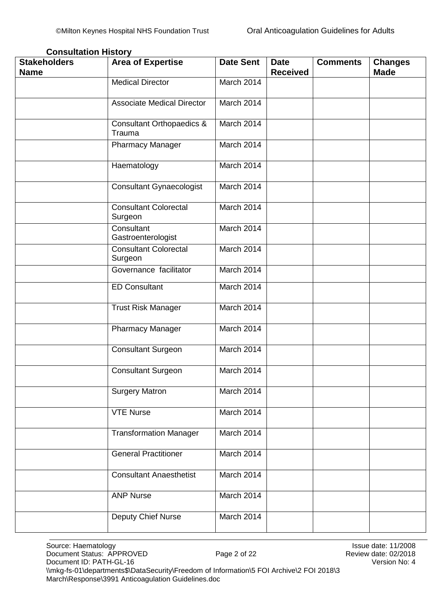| <b>Stakeholders</b><br><b>Name</b> | <b>Area of Expertise</b>                       | <b>Date Sent</b> | <b>Date</b><br><b>Received</b> | <b>Comments</b> | <b>Changes</b><br><b>Made</b> |
|------------------------------------|------------------------------------------------|------------------|--------------------------------|-----------------|-------------------------------|
|                                    | <b>Medical Director</b>                        | March 2014       |                                |                 |                               |
|                                    | <b>Associate Medical Director</b>              | March 2014       |                                |                 |                               |
|                                    | <b>Consultant Orthopaedics &amp;</b><br>Trauma | March 2014       |                                |                 |                               |
|                                    | <b>Pharmacy Manager</b>                        | March 2014       |                                |                 |                               |
|                                    | Haematology                                    | March 2014       |                                |                 |                               |
|                                    | <b>Consultant Gynaecologist</b>                | March 2014       |                                |                 |                               |
|                                    | <b>Consultant Colorectal</b><br>Surgeon        | March 2014       |                                |                 |                               |
|                                    | Consultant<br>Gastroenterologist               | March 2014       |                                |                 |                               |
|                                    | <b>Consultant Colorectal</b><br>Surgeon        | March 2014       |                                |                 |                               |
|                                    | Governance facilitator                         | March 2014       |                                |                 |                               |
|                                    | <b>ED Consultant</b>                           | March 2014       |                                |                 |                               |
|                                    | <b>Trust Risk Manager</b>                      | March 2014       |                                |                 |                               |
|                                    | <b>Pharmacy Manager</b>                        | March 2014       |                                |                 |                               |
|                                    | <b>Consultant Surgeon</b>                      | March 2014       |                                |                 |                               |
|                                    | <b>Consultant Surgeon</b>                      | March 2014       |                                |                 |                               |
|                                    | <b>Surgery Matron</b>                          | March 2014       |                                |                 |                               |
|                                    | <b>VTE Nurse</b>                               | March 2014       |                                |                 |                               |
|                                    | <b>Transformation Manager</b>                  | March 2014       |                                |                 |                               |
|                                    | <b>General Practitioner</b>                    | March 2014       |                                |                 |                               |
|                                    | <b>Consultant Anaesthetist</b>                 | March 2014       |                                |                 |                               |
|                                    | <b>ANP Nurse</b>                               | March 2014       |                                |                 |                               |
|                                    | Deputy Chief Nurse                             | March 2014       |                                |                 |                               |

#### <span id="page-1-0"></span>**Consultation History**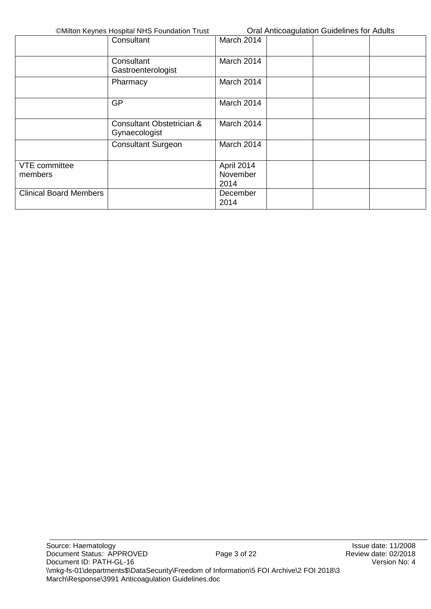|                               | Consultant                                 | March 2014 |  |  |
|-------------------------------|--------------------------------------------|------------|--|--|
|                               | Consultant<br>Gastroenterologist           | March 2014 |  |  |
|                               | Pharmacy                                   | March 2014 |  |  |
|                               | <b>GP</b>                                  | March 2014 |  |  |
|                               | Consultant Obstetrician &<br>Gynaecologist | March 2014 |  |  |
|                               | <b>Consultant Surgeon</b>                  | March 2014 |  |  |
| VTE committee                 |                                            | April 2014 |  |  |
| members                       |                                            | November   |  |  |
|                               |                                            | 2014       |  |  |
| <b>Clinical Board Members</b> |                                            | December   |  |  |
|                               |                                            | 2014       |  |  |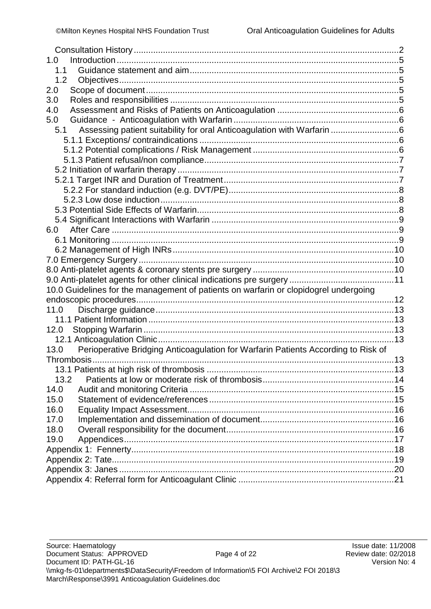| 1.0                                                                                       |  |
|-------------------------------------------------------------------------------------------|--|
| 1.1                                                                                       |  |
| 1.2                                                                                       |  |
| 2.0                                                                                       |  |
| 3.0                                                                                       |  |
| 4.0                                                                                       |  |
| 5.0                                                                                       |  |
| Assessing patient suitability for oral Anticoagulation with Warfarin 6<br>5.1             |  |
|                                                                                           |  |
|                                                                                           |  |
|                                                                                           |  |
|                                                                                           |  |
|                                                                                           |  |
|                                                                                           |  |
|                                                                                           |  |
|                                                                                           |  |
|                                                                                           |  |
|                                                                                           |  |
|                                                                                           |  |
|                                                                                           |  |
|                                                                                           |  |
|                                                                                           |  |
|                                                                                           |  |
| 10.0 Guidelines for the management of patients on warfarin or clopidogrel undergoing      |  |
|                                                                                           |  |
| 11.0                                                                                      |  |
|                                                                                           |  |
| 12.0                                                                                      |  |
|                                                                                           |  |
| Perioperative Bridging Anticoagulation for Warfarin Patients According to Risk of<br>13.0 |  |
|                                                                                           |  |
|                                                                                           |  |
| 13.2                                                                                      |  |
| 14.0                                                                                      |  |
| 15.0                                                                                      |  |
| 16.0                                                                                      |  |
| 17.0                                                                                      |  |
| 18.0                                                                                      |  |
| 19.0                                                                                      |  |
|                                                                                           |  |
|                                                                                           |  |
|                                                                                           |  |
|                                                                                           |  |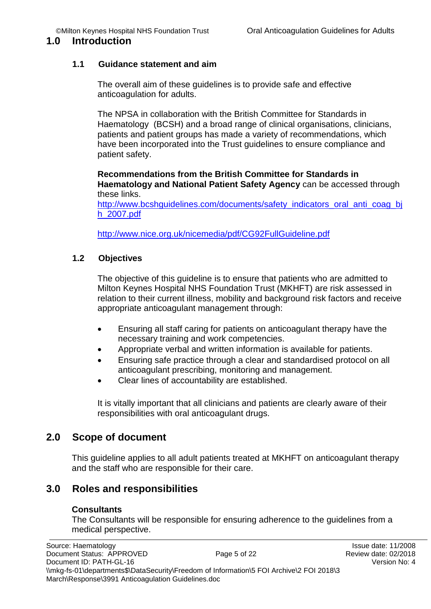#### <span id="page-4-0"></span>**1.0 Introduction**

### <span id="page-4-1"></span>**1.1 Guidance statement and aim**

The overall aim of these guidelines is to provide safe and effective anticoagulation for adults.

The NPSA in collaboration with the British Committee for Standards in Haematology (BCSH) and a broad range of clinical organisations, clinicians, patients and patient groups has made a variety of recommendations, which have been incorporated into the Trust guidelines to ensure compliance and patient safety.

**Recommendations from the British Committee for Standards in Haematology and National Patient Safety Agency** can be accessed through these links.

http://www.bcshquidelines.com/documents/safety\_indicators\_oral\_anti\_coag\_bj [h\\_2007.pdf](http://www.bcshguidelines.com/documents/safety_indicators_oral_anti_coag_bjh_2007.pdf)

<http://www.nice.org.uk/nicemedia/pdf/CG92FullGuideline.pdf>

### <span id="page-4-2"></span>**1.2 Objectives**

The objective of this guideline is to ensure that patients who are admitted to Milton Keynes Hospital NHS Foundation Trust (MKHFT) are risk assessed in relation to their current illness, mobility and background risk factors and receive appropriate anticoagulant management through:

- Ensuring all staff caring for patients on anticoagulant therapy have the necessary training and work competencies.
- Appropriate verbal and written information is available for patients.
- Ensuring safe practice through a clear and standardised protocol on all anticoagulant prescribing, monitoring and management.
- Clear lines of accountability are established.

It is vitally important that all clinicians and patients are clearly aware of their responsibilities with oral anticoagulant drugs.

### <span id="page-4-3"></span>**2.0 Scope of document**

This guideline applies to all adult patients treated at MKHFT on anticoagulant therapy and the staff who are responsible for their care.

# <span id="page-4-4"></span>**3.0 Roles and responsibilities**

#### **Consultants**

The Consultants will be responsible for ensuring adherence to the guidelines from a medical perspective.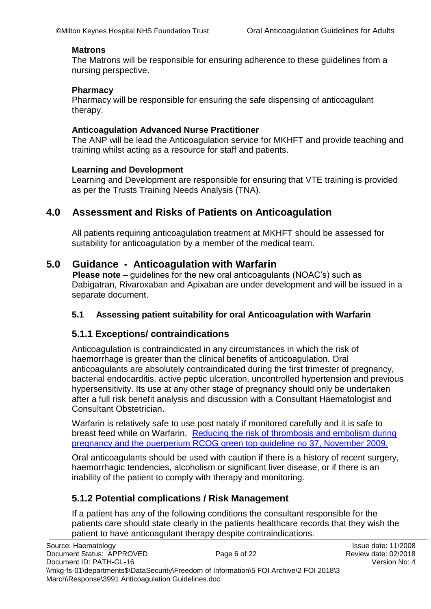#### **Matrons**

The Matrons will be responsible for ensuring adherence to these guidelines from a nursing perspective.

#### **Pharmacy**

Pharmacy will be responsible for ensuring the safe dispensing of anticoagulant therapy.

#### **Anticoagulation Advanced Nurse Practitioner**

The ANP will be lead the Anticoagulation service for MKHFT and provide teaching and training whilst acting as a resource for staff and patients.

#### **Learning and Development**

Learning and Development are responsible for ensuring that VTE training is provided as per the Trusts Training Needs Analysis (TNA).

### <span id="page-5-0"></span>**4.0 Assessment and Risks of Patients on Anticoagulation**

All patients requiring anticoagulation treatment at MKHFT should be assessed for suitability for anticoagulation by a member of the medical team.

### <span id="page-5-1"></span>**5.0 Guidance - Anticoagulation with Warfarin**

**Please note** – guidelines for the new oral anticoagulants (NOAC's) such as Dabigatran, Rivaroxaban and Apixaban are under development and will be issued in a separate document.

#### <span id="page-5-2"></span>**5.1 Assessing patient suitability for oral Anticoagulation with Warfarin**

#### <span id="page-5-3"></span>**5.1.1 Exceptions/ contraindications**

Anticoagulation is contraindicated in any circumstances in which the risk of haemorrhage is greater than the clinical benefits of anticoagulation. Oral anticoagulants are absolutely contraindicated during the first trimester of pregnancy, bacterial endocarditis, active peptic ulceration, uncontrolled hypertension and previous hypersensitivity. Its use at any other stage of pregnancy should only be undertaken after a full risk benefit analysis and discussion with a Consultant Haematologist and Consultant Obstetrician.

Warfarin is relatively safe to use post nataly if monitored carefully and it is safe to breast feed while on Warfarin. [Reducing the risk of thrombosis and embolism during](https://www.rcog.org.uk/en/guidelines-research-services/guidelines/gtg37a/)  [pregnancy and the puerperium RCOG green top guideline no 37, November 2009.](https://www.rcog.org.uk/en/guidelines-research-services/guidelines/gtg37a/)

Oral anticoagulants should be used with caution if there is a history of recent surgery, haemorrhagic tendencies, alcoholism or significant liver disease, or if there is an inability of the patient to comply with therapy and monitoring.

### <span id="page-5-4"></span>**5.1.2 Potential complications / Risk Management**

If a patient has any of the following conditions the consultant responsible for the patients care should state clearly in the patients healthcare records that they wish the patient to have anticoagulant therapy despite contraindications.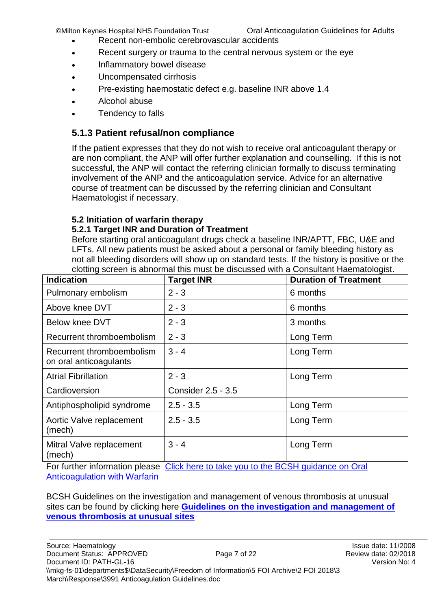- Recent non-embolic cerebrovascular accidents
- Recent surgery or trauma to the central nervous system or the eye
- Inflammatory bowel disease
- Uncompensated cirrhosis
- Pre-existing haemostatic defect e.g. baseline INR above 1.4
- Alcohol abuse
- Tendency to falls

# <span id="page-6-0"></span>**5.1.3 Patient refusal/non compliance**

If the patient expresses that they do not wish to receive oral anticoagulant therapy or are non compliant, the ANP will offer further explanation and counselling. If this is not successful, the ANP will contact the referring clinician formally to discuss terminating involvement of the ANP and the anticoagulation service. Advice for an alternative course of treatment can be discussed by the referring clinician and Consultant Haematologist if necessary.

### <span id="page-6-1"></span>**5.2 Initiation of warfarin therapy**

### <span id="page-6-2"></span>**5.2.1 Target INR and Duration of Treatment**

Before starting oral anticoagulant drugs check a baseline INR/APTT, FBC, U&E and LFTs. All new patients must be asked about a personal or family bleeding history as not all bleeding disorders will show up on standard tests. If the history is positive or the clotting screen is abnormal this must be discussed with a Consultant Haematologist.

| <b>Indication</b>                                                                   | <b>Target INR</b>         | <b>Duration of Treatment</b> |  |  |
|-------------------------------------------------------------------------------------|---------------------------|------------------------------|--|--|
| Pulmonary embolism                                                                  | $2 - 3$                   | 6 months                     |  |  |
| Above knee DVT                                                                      | $2 - 3$                   | 6 months                     |  |  |
| <b>Below knee DVT</b>                                                               | $2 - 3$                   | 3 months                     |  |  |
| Recurrent thromboembolism                                                           | $2 - 3$                   | Long Term                    |  |  |
| Recurrent thromboembolism<br>on oral anticoagulants                                 | $3 - 4$                   | Long Term                    |  |  |
| <b>Atrial Fibrillation</b>                                                          | $2 - 3$                   | Long Term                    |  |  |
| Cardioversion                                                                       | <b>Consider 2.5 - 3.5</b> |                              |  |  |
| Antiphospholipid syndrome                                                           | $2.5 - 3.5$               | Long Term                    |  |  |
| Aortic Valve replacement<br>(mech)                                                  | $2.5 - 3.5$               | Long Term                    |  |  |
| Mitral Valve replacement<br>(mech)                                                  | $3 - 4$                   | Long Term                    |  |  |
| For further information places. Click here to take you to the RCSH quidance on Oral |                           |                              |  |  |

For further information please Click here to take you to the BCSH guidance on Oral [Anticoagulation with Warfarin](http://onlinelibrary.wiley.com/doi/10.1111/j.1365-2141.2011.08753.x/full)

BCSH Guidelines on the investigation and management of venous thrombosis at unusual sites can be found by clicking here **[Guidelines on the investigation and management of](http://onlinelibrary.wiley.com/doi/10.1111/j.1365-2141.2012.09249.x/pdf)  [venous thrombosis at unusual sites](http://onlinelibrary.wiley.com/doi/10.1111/j.1365-2141.2012.09249.x/pdf)**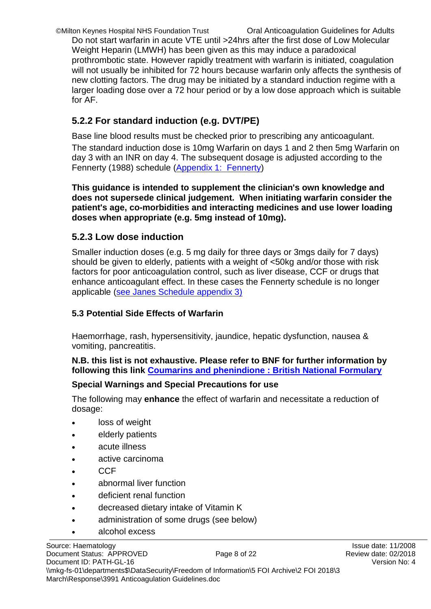©Milton Keynes Hospital NHS Foundation Trust Oral Anticoagulation Guidelines for Adults Do not start warfarin in acute VTE until >24hrs after the first dose of Low Molecular Weight Heparin (LMWH) has been given as this may induce a paradoxical prothrombotic state. However rapidly treatment with warfarin is initiated, coagulation will not usually be inhibited for 72 hours because warfarin only affects the synthesis of new clotting factors. The drug may be initiated by a standard induction regime with a larger loading dose over a 72 hour period or by a low dose approach which is suitable for AF.

# <span id="page-7-0"></span>**5.2.2 For standard induction (e.g. DVT/PE)**

Base line blood results must be checked prior to prescribing any anticoagulant. The standard induction dose is 10mg Warfarin on days 1 and 2 then 5mg Warfarin on day 3 with an INR on day 4. The subsequent dosage is adjusted according to the Fennerty (1988) schedule [\(Appendix 1: Fennerty\)](#page-17-0)

**This guidance is intended to supplement the clinician's own knowledge and does not supersede clinical judgement. When initiating warfarin consider the patient's age, co-morbidities and interacting medicines and use lower loading doses when appropriate (e.g. 5mg instead of 10mg).** 

### <span id="page-7-1"></span>**5.2.3 Low dose induction**

Smaller induction doses (e.g. 5 mg daily for three days or 3mgs daily for 7 days) should be given to elderly, patients with a weight of <50kg and/or those with risk factors for poor anticoagulation control, such as liver disease, CCF or drugs that enhance anticoagulant effect. In these cases the Fennerty schedule is no longer applicable [\(see Janes Schedule appendix 3\)](#page-19-0)

### <span id="page-7-2"></span>**5.3 Potential Side Effects of Warfarin**

Haemorrhage, rash, hypersensitivity, jaundice, hepatic dysfunction, nausea & vomiting, pancreatitis.

### **N.B. this list is not exhaustive. Please refer to BNF for further information by following this link [Coumarins and phenindione : British National Formulary](http://www.evidence.nhs.uk/formulary/bnf/current/2-cardiovascular-system/28-anticoagulants-and-protamine/282-oral-anticoagulants/coumarins-and-phenindione)**

### **Special Warnings and Special Precautions for use**

The following may **enhance** the effect of warfarin and necessitate a reduction of dosage:

- loss of weight
- elderly patients
- acute illness
- active carcinoma
- **CCF**
- abnormal liver function
- deficient renal function
- decreased dietary intake of Vitamin K
- administration of some drugs (see below)
- alcohol excess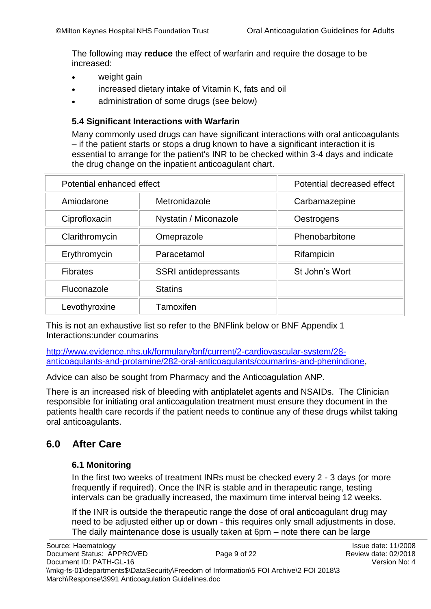The following may **reduce** the effect of warfarin and require the dosage to be increased:

- weight gain
- increased dietary intake of Vitamin K, fats and oil
- administration of some drugs (see below)

### <span id="page-8-0"></span>**5.4 Significant Interactions with Warfarin**

Many commonly used drugs can have significant interactions with oral anticoagulants – if the patient starts or stops a drug known to have a significant interaction it is essential to arrange for the patient's INR to be checked within 3-4 days and indicate the drug change on the inpatient anticoagulant chart.

| Potential enhanced effect | Potential decreased effect  |                |
|---------------------------|-----------------------------|----------------|
| Amiodarone                | Metronidazole               | Carbamazepine  |
| Ciprofloxacin             | Nystatin / Miconazole       | Oestrogens     |
| Clarithromycin            | Omeprazole                  | Phenobarbitone |
| Erythromycin              | Paracetamol                 | Rifampicin     |
| <b>Fibrates</b>           | <b>SSRI</b> antidepressants | St John's Wort |
| Fluconazole               | <b>Statins</b>              |                |
| Levothyroxine             | Tamoxifen                   |                |

This is not an exhaustive list so refer to the BNFlink below or BNF Appendix 1 Interactions:under coumarins

[http://www.evidence.nhs.uk/formulary/bnf/current/2-cardiovascular-system/28](http://www.evidence.nhs.uk/formulary/bnf/current/2-cardiovascular-system/28-anticoagulants-and-protamine/282-oral-anticoagulants/coumarins-and-phenindione) [anticoagulants-and-protamine/282-oral-anticoagulants/coumarins-and-phenindione,](http://www.evidence.nhs.uk/formulary/bnf/current/2-cardiovascular-system/28-anticoagulants-and-protamine/282-oral-anticoagulants/coumarins-and-phenindione)

Advice can also be sought from Pharmacy and the Anticoagulation ANP.

There is an increased risk of bleeding with antiplatelet agents and NSAIDs. The Clinician responsible for initiating oral anticoagulation treatment must ensure they document in the patients health care records if the patient needs to continue any of these drugs whilst taking oral anticoagulants.

# <span id="page-8-2"></span><span id="page-8-1"></span>**6.0 After Care**

#### **6.1 Monitoring**

In the first two weeks of treatment INRs must be checked every 2 - 3 days (or more frequently if required). Once the INR is stable and in therapeutic range, testing intervals can be gradually increased, the maximum time interval being 12 weeks.

If the INR is outside the therapeutic range the dose of oral anticoagulant drug may need to be adjusted either up or down - this requires only small adjustments in dose. The daily maintenance dose is usually taken at 6pm – note there can be large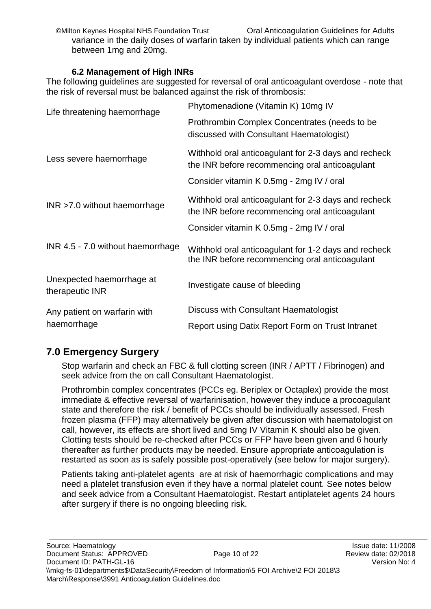variance in the daily doses of warfarin taken by individual patients which can range between 1mg and 20mg.

### **6.2 Management of High INRs**

<span id="page-9-0"></span>The following guidelines are suggested for reversal of oral anticoagulant overdose - note that the risk of reversal must be balanced against the risk of thrombosis:

| Life threatening haemorrhage                 | Phytomenadione (Vitamin K) 10mg IV                                                                     |  |  |
|----------------------------------------------|--------------------------------------------------------------------------------------------------------|--|--|
|                                              | Prothrombin Complex Concentrates (needs to be<br>discussed with Consultant Haematologist)              |  |  |
| Less severe haemorrhage                      | Withhold oral anticoagulant for 2-3 days and recheck<br>the INR before recommencing oral anticoagulant |  |  |
|                                              | Consider vitamin K 0.5mg - 2mg IV / oral                                                               |  |  |
| $INR > 7.0$ without haemorrhage              | Withhold oral anticoagulant for 2-3 days and recheck<br>the INR before recommencing oral anticoagulant |  |  |
|                                              | Consider vitamin K 0.5mg - 2mg IV / oral                                                               |  |  |
| INR 4.5 - 7.0 without haemorrhage            | Withhold oral anticoagulant for 1-2 days and recheck<br>the INR before recommencing oral anticoagulant |  |  |
| Unexpected haemorrhage at<br>therapeutic INR | Investigate cause of bleeding                                                                          |  |  |
| Any patient on warfarin with                 | Discuss with Consultant Haematologist                                                                  |  |  |
| haemorrhage                                  | Report using Datix Report Form on Trust Intranet                                                       |  |  |

# <span id="page-9-1"></span>**7.0 Emergency Surgery**

Stop warfarin and check an FBC & full clotting screen (INR / APTT / Fibrinogen) and seek advice from the on call Consultant Haematologist.

Prothrombin complex concentrates (PCCs eg. Beriplex or Octaplex) provide the most immediate & effective reversal of warfarinisation, however they induce a procoagulant state and therefore the risk / benefit of PCCs should be individually assessed. Fresh frozen plasma (FFP) may alternatively be given after discussion with haematologist on call, however, its effects are short lived and 5mg IV Vitamin K should also be given. Clotting tests should be re-checked after PCCs or FFP have been given and 6 hourly thereafter as further products may be needed. Ensure appropriate anticoagulation is restarted as soon as is safely possible post-operatively (see below for major surgery).

Patients taking anti-platelet agents are at risk of haemorrhagic complications and may need a platelet transfusion even if they have a normal platelet count. See notes below and seek advice from a Consultant Haematologist. Restart antiplatelet agents 24 hours after surgery if there is no ongoing bleeding risk.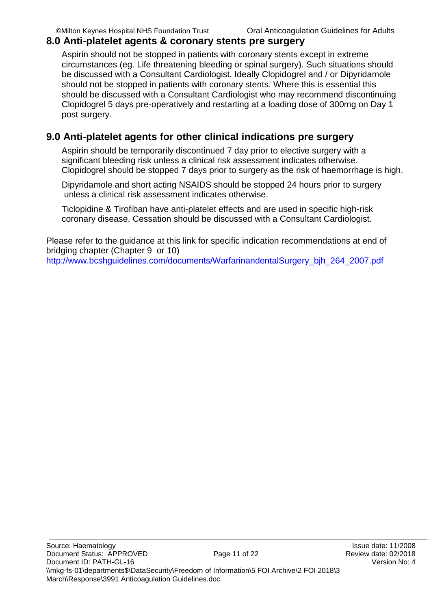### <span id="page-10-0"></span>**8.0 Anti-platelet agents & coronary stents pre surgery**

Aspirin should not be stopped in patients with coronary stents except in extreme circumstances (eg. Life threatening bleeding or spinal surgery). Such situations should be discussed with a Consultant Cardiologist. Ideally Clopidogrel and / or Dipyridamole should not be stopped in patients with coronary stents. Where this is essential this should be discussed with a Consultant Cardiologist who may recommend discontinuing Clopidogrel 5 days pre-operatively and restarting at a loading dose of 300mg on Day 1 post surgery.

# <span id="page-10-1"></span>**9.0 Anti-platelet agents for other clinical indications pre surgery**

Aspirin should be temporarily discontinued 7 day prior to elective surgery with a significant bleeding risk unless a clinical risk assessment indicates otherwise. Clopidogrel should be stopped 7 days prior to surgery as the risk of haemorrhage is high.

Dipyridamole and short acting NSAIDS should be stopped 24 hours prior to surgery unless a clinical risk assessment indicates otherwise.

Ticlopidine & Tirofiban have anti-platelet effects and are used in specific high-risk coronary disease. Cessation should be discussed with a Consultant Cardiologist.

Please refer to the guidance at this link for specific indication recommendations at end of bridging chapter (Chapter 9 or 10)

http://www.bcshquidelines.com/documents/WarfarinandentalSurgery\_bih\_264\_2007.pdf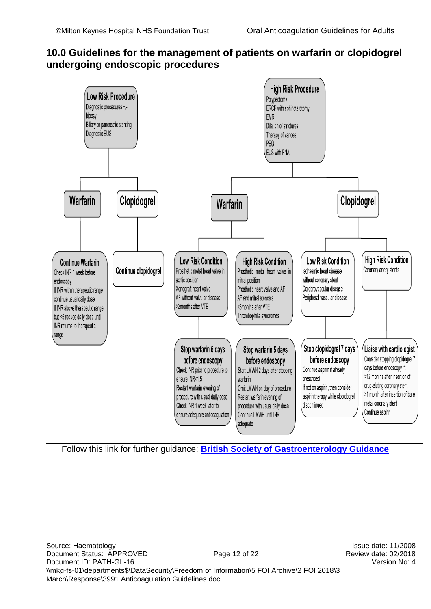### <span id="page-11-0"></span>**10.0 Guidelines for the management of patients on warfarin or clopidogrel undergoing endoscopic procedures**



Follow this link for further guidance: **[British Society of Gastroenterology Guidance](http://www.bsg.org.uk/clinical-guidelines/endoscopy/anticoagulant-antiplatelet-therapy.html)**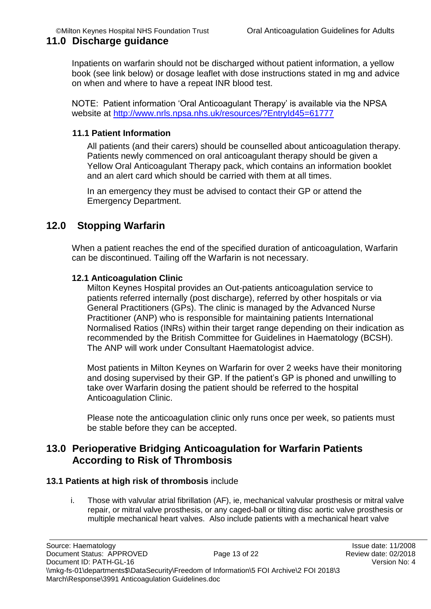### <span id="page-12-0"></span>**11.0 Discharge guidance**

Inpatients on warfarin should not be discharged without patient information, a yellow book (see link below) or dosage leaflet with dose instructions stated in mg and advice on when and where to have a repeat INR blood test.

NOTE: Patient information 'Oral Anticoagulant Therapy' is available via the NPSA website at<http://www.nrls.npsa.nhs.uk/resources/?EntryId45=61777>

### <span id="page-12-1"></span>**11.1 Patient Information**

All patients (and their carers) should be counselled about anticoagulation therapy. Patients newly commenced on oral anticoagulant therapy should be given a Yellow Oral Anticoagulant Therapy pack, which contains an information booklet and an alert card which should be carried with them at all times.

In an emergency they must be advised to contact their GP or attend the Emergency Department.

### <span id="page-12-2"></span>**12.0 Stopping Warfarin**

When a patient reaches the end of the specified duration of anticoagulation, Warfarin can be discontinued. Tailing off the Warfarin is not necessary.

#### <span id="page-12-3"></span>**12.1 Anticoagulation Clinic**

Milton Keynes Hospital provides an Out-patients anticoagulation service to patients referred internally (post discharge), referred by other hospitals or via General Practitioners (GPs). The clinic is managed by the Advanced Nurse Practitioner (ANP) who is responsible for maintaining patients International Normalised Ratios (INRs) within their target range depending on their indication as recommended by the British Committee for Guidelines in Haematology (BCSH). The ANP will work under Consultant Haematologist advice.

Most patients in Milton Keynes on Warfarin for over 2 weeks have their monitoring and dosing supervised by their GP. If the patient's GP is phoned and unwilling to take over Warfarin dosing the patient should be referred to the hospital Anticoagulation Clinic.

Please note the anticoagulation clinic only runs once per week, so patients must be stable before they can be accepted.

### <span id="page-12-4"></span>**13.0 Perioperative Bridging Anticoagulation for Warfarin Patients According to Risk of Thrombosis**

#### <span id="page-12-5"></span>**13.1 Patients at high risk of thrombosis** include

i. Those with valvular atrial fibrillation (AF), ie, mechanical valvular prosthesis or mitral valve repair, or mitral valve prosthesis, or any caged-ball or tilting disc aortic valve prosthesis or multiple mechanical heart valves. Also include patients with a mechanical heart valve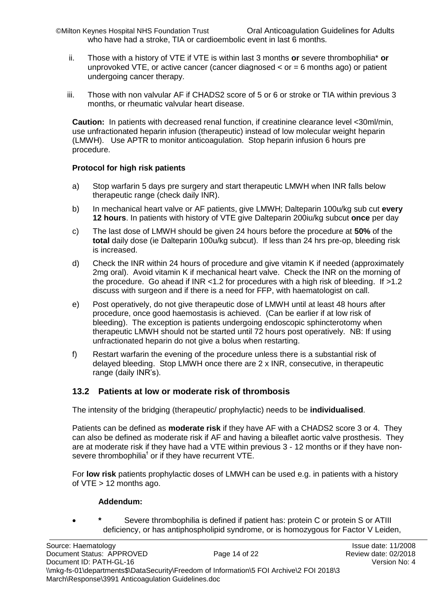©Milton Keynes Hospital NHS Foundation Trust Oral Anticoagulation Guidelines for Adults who have had a stroke, TIA or cardioembolic event in last 6 months.

- ii. Those with a history of VTE if VTE is within last 3 months **or** severe thrombophilia\* **or** unprovoked VTE, or active cancer (cancer diagnosed  $\lt$  or = 6 months ago) or patient undergoing cancer therapy.
- iii. Those with non valvular AF if CHADS2 score of 5 or 6 or stroke or TIA within previous 3 months, or rheumatic valvular heart disease.

**Caution:** In patients with decreased renal function, if creatinine clearance level <30ml/min, use unfractionated heparin infusion (therapeutic) instead of low molecular weight heparin (LMWH). Use APTR to monitor anticoagulation. Stop heparin infusion 6 hours pre procedure.

#### **Protocol for high risk patients**

- a) Stop warfarin 5 days pre surgery and start therapeutic LMWH when INR falls below therapeutic range (check daily INR).
- b) In mechanical heart valve or AF patients, give LMWH; Dalteparin 100u/kg sub cut **every 12 hours**. In patients with history of VTE give Dalteparin 200iu/kg subcut **once** per day
- c) The last dose of LMWH should be given 24 hours before the procedure at **50%** of the **total** daily dose (ie Dalteparin 100u/kg subcut). If less than 24 hrs pre-op, bleeding risk is increased.
- d) Check the INR within 24 hours of procedure and give vitamin K if needed (approximately 2mg oral). Avoid vitamin K if mechanical heart valve. Check the INR on the morning of the procedure. Go ahead if INR <1.2 for procedures with a high risk of bleeding. If  $>1.2$ discuss with surgeon and if there is a need for FFP, with haematologist on call.
- e) Post operatively, do not give therapeutic dose of LMWH until at least 48 hours after procedure, once good haemostasis is achieved. (Can be earlier if at low risk of bleeding). The exception is patients undergoing endoscopic sphincterotomy when therapeutic LMWH should not be started until 72 hours post operatively. NB: If using unfractionated heparin do not give a bolus when restarting.
- f) Restart warfarin the evening of the procedure unless there is a substantial risk of delayed bleeding. Stop LMWH once there are 2 x INR, consecutive, in therapeutic range (daily INR's).

#### <span id="page-13-0"></span>**13.2 Patients at low or moderate risk of thrombosis**

The intensity of the bridging (therapeutic/ prophylactic) needs to be **individualised**.

Patients can be defined as **moderate risk** if they have AF with a CHADS2 score 3 or 4. They can also be defined as moderate risk if AF and having a bileaflet aortic valve prosthesis. They are at moderate risk if they have had a VTE within previous 3 - 12 months or if they have nonsevere thrombophilia<sup>†</sup> or if they have recurrent VTE.

For **low risk** patients prophylactic doses of LMWH can be used e.g. in patients with a history of VTE > 12 months ago.

#### **Addendum:**

Severe thrombophilia is defined if patient has: protein C or protein S or ATIII deficiency, or has antiphospholipid syndrome, or is homozygous for Factor V Leiden,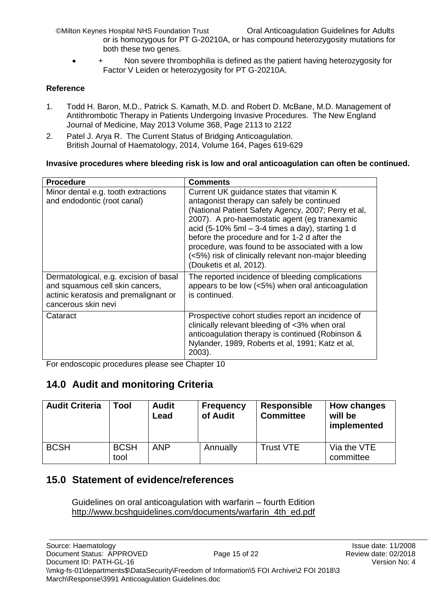- or is homozygous for PT G-20210A, or has compound heterozygosity mutations for both these two genes.
- Non severe thrombophilia is defined as the patient having heterozygosity for Factor V Leiden or heterozygosity for PT G-20210A.

### **Reference**

- 1. Todd H. Baron, M.D., Patrick S. Kamath, M.D. and Robert D. McBane, M.D. Management of Antithrombotic Therapy in Patients Undergoing Invasive Procedures. The New England Journal of Medicine, May 2013 Volume 368, Page 2113 to 2122
- 2. Patel J. Arya R. The Current Status of Bridging Anticoagulation. British Journal of Haematology, 2014, Volume 164, Pages 619-629

### **Invasive procedures where bleeding risk is low and oral anticoagulation can often be continued.**

| <b>Procedure</b>                                                                                                                          | Comments                                                                                                                                                                                                                                                                                                                                                                                                                                     |
|-------------------------------------------------------------------------------------------------------------------------------------------|----------------------------------------------------------------------------------------------------------------------------------------------------------------------------------------------------------------------------------------------------------------------------------------------------------------------------------------------------------------------------------------------------------------------------------------------|
| Minor dental e.g. tooth extractions<br>and endodontic (root canal)                                                                        | Current UK guidance states that vitamin K<br>antagonist therapy can safely be continued<br>(National Patient Safety Agency, 2007; Perry et al,<br>2007). A pro-haemostatic agent (eg tranexamic<br>acid (5-10% 5ml $-$ 3-4 times a day), starting 1 d<br>before the procedure and for 1-2 d after the<br>procedure, was found to be associated with a low<br>(<5%) risk of clinically relevant non-major bleeding<br>(Douketis et al, 2012). |
| Dermatological, e.g. excision of basal<br>and squamous cell skin cancers,<br>actinic keratosis and premalignant or<br>cancerous skin nevi | The reported incidence of bleeding complications<br>appears to be low (<5%) when oral anticoagulation<br>is continued.                                                                                                                                                                                                                                                                                                                       |
| Cataract                                                                                                                                  | Prospective cohort studies report an incidence of<br>clinically relevant bleeding of <3% when oral<br>anticoagulation therapy is continued (Robinson &<br>Nylander, 1989, Roberts et al, 1991; Katz et al,<br>2003).                                                                                                                                                                                                                         |

For endoscopic procedures please see Chapter 10

# <span id="page-14-0"></span>**14.0 Audit and monitoring Criteria**

| <b>Audit Criteria</b> | Tool                | <b>Audit</b><br>Lead | <b>Frequency</b><br>of Audit | <b>Responsible</b><br><b>Committee</b> | How changes<br>will be<br>implemented |
|-----------------------|---------------------|----------------------|------------------------------|----------------------------------------|---------------------------------------|
| <b>BCSH</b>           | <b>BCSH</b><br>tool | <b>ANP</b>           | Annually                     | <b>Trust VTE</b>                       | Via the VTE<br>committee              |

# <span id="page-14-1"></span>**15.0 Statement of evidence/references**

Guidelines on oral anticoagulation with warfarin – fourth Edition [http://www.bcshguidelines.com/documents/warfarin\\_4th\\_ed.pdf](http://www.bcshguidelines.com/documents/warfarin_4th_ed.pdf)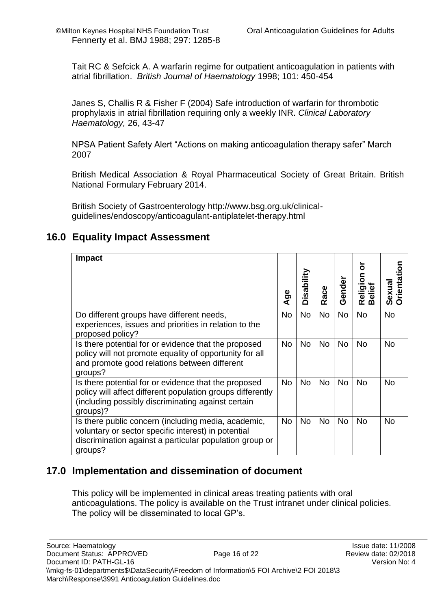Tait RC & Sefcick A. A warfarin regime for outpatient anticoagulation in patients with atrial fibrillation. *British Journal of Haematology* 1998; 101: 450-454

Janes S, Challis R & Fisher F (2004) Safe introduction of warfarin for thrombotic prophylaxis in atrial fibrillation requiring only a weekly INR. *Clinical Laboratory Haematology,* 26, 43-47

NPSA Patient Safety Alert "Actions on making anticoagulation therapy safer" March 2007

British Medical Association & Royal Pharmaceutical Society of Great Britain. British National Formulary February 2014.

British Society of Gastroenterology http://www.bsg.org.uk/clinicalguidelines/endoscopy/anticoagulant-antiplatelet-therapy.html

### <span id="page-15-0"></span>**16.0 Equality Impact Assessment**

| Impact                                                                                                                                                                               | $\mathsf{Age}$ | Disability | Race      | Gender    | ō<br>Religion<br>Beliet | Orientation<br>Sexual |
|--------------------------------------------------------------------------------------------------------------------------------------------------------------------------------------|----------------|------------|-----------|-----------|-------------------------|-----------------------|
| Do different groups have different needs,<br>experiences, issues and priorities in relation to the<br>proposed policy?                                                               | <b>No</b>      | <b>No</b>  | <b>No</b> | <b>No</b> | <b>No</b>               | <b>No</b>             |
| Is there potential for or evidence that the proposed<br>policy will not promote equality of opportunity for all<br>and promote good relations between different<br>groups?           | <b>No</b>      | <b>No</b>  | <b>No</b> | <b>No</b> | <b>No</b>               | No                    |
| Is there potential for or evidence that the proposed<br>policy will affect different population groups differently<br>(including possibly discriminating against certain<br>groups)? | No.            | <b>No</b>  | <b>No</b> | No        | <b>No</b>               | No                    |
| Is there public concern (including media, academic,<br>voluntary or sector specific interest) in potential<br>discrimination against a particular population group or<br>groups?     | <b>No</b>      | <b>No</b>  | <b>No</b> | <b>No</b> | <b>No</b>               | <b>No</b>             |

### <span id="page-15-1"></span>**17.0 Implementation and dissemination of document**

This policy will be implemented in clinical areas treating patients with oral anticoagulations. The policy is available on the Trust intranet under clinical policies. The policy will be disseminated to local GP's.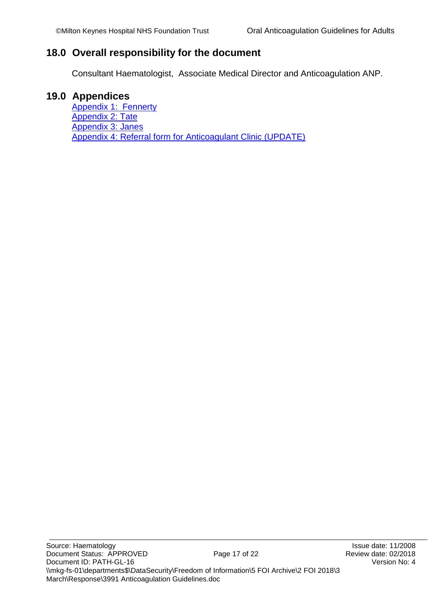### <span id="page-16-0"></span>**18.0 Overall responsibility for the document**

Consultant Haematologist, Associate Medical Director and Anticoagulation ANP.

### <span id="page-16-1"></span>**19.0 Appendices**

[Appendix 1: Fennerty](#page-17-0) [Appendix 2: Tate](#page-18-0) [Appendix 3: Janes](#page-19-0) [Appendix 4: Referral form for Anticoagulant Clinic \(UPDATE\)](#page-20-1)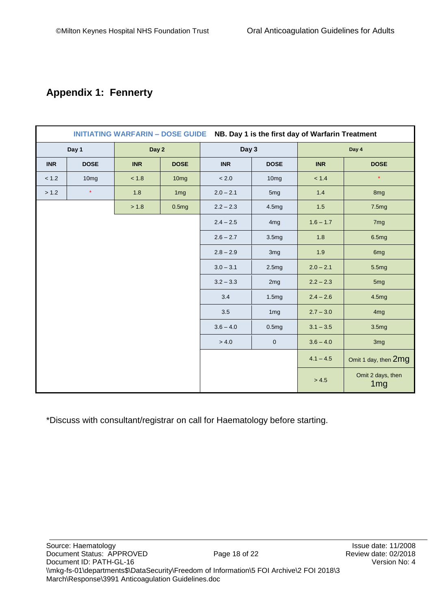# <span id="page-17-0"></span>**Appendix 1: Fennerty**

| NB. Day 1 is the first day of Warfarin Treatment<br><b>INITIATING WARFARIN - DOSE GUIDE</b> |                |             |                  |             |                  |                      |                                      |
|---------------------------------------------------------------------------------------------|----------------|-------------|------------------|-------------|------------------|----------------------|--------------------------------------|
|                                                                                             | Day 2<br>Day 1 |             | Day 3            |             | Day 4            |                      |                                      |
| <b>INR</b>                                                                                  | <b>DOSE</b>    | <b>INR</b>  | <b>DOSE</b>      | <b>INR</b>  | <b>DOSE</b>      | <b>INR</b>           | <b>DOSE</b>                          |
| < 1.2                                                                                       | 10mg           | < 1.8       | 10 <sub>mg</sub> | $< 2.0$     | 10 <sub>mg</sub> | < 1.4                | $\star$                              |
| > 1.2                                                                                       | $\star$        | 1.8         | 1 <sub>mg</sub>  | $2.0 - 2.1$ | 5mg              | 1.4                  | 8mg                                  |
|                                                                                             |                | > 1.8       | 0.5mg            | $2.2 - 2.3$ | 4.5mg            | 1.5                  | 7.5mg                                |
|                                                                                             |                |             |                  | $2.4 - 2.5$ | 4 <sub>mg</sub>  | $1.6 - 1.7$          | 7 <sub>mg</sub>                      |
|                                                                                             |                |             | $2.6 - 2.7$      | 3.5mg       | 1.8              | 6.5mg                |                                      |
|                                                                                             |                | $2.8 - 2.9$ | 3mg              | 1.9         | 6mg              |                      |                                      |
|                                                                                             |                | $3.0 - 3.1$ | 2.5mg            | $2.0 - 2.1$ | 5.5mg            |                      |                                      |
|                                                                                             |                | $3.2 - 3.3$ | 2mg              | $2.2 - 2.3$ | 5 <sub>mg</sub>  |                      |                                      |
|                                                                                             |                | 3.4         | 1.5mg            | $2.4 - 2.6$ | 4.5mg            |                      |                                      |
|                                                                                             |                | 3.5         | 1 <sub>mg</sub>  | $2.7 - 3.0$ | 4 <sub>mg</sub>  |                      |                                      |
|                                                                                             |                |             | $3.6 - 4.0$      | 0.5mg       | $3.1 - 3.5$      | 3.5 <sub>mg</sub>    |                                      |
|                                                                                             |                |             | > 4.0            | $\pmb{0}$   | $3.6 - 4.0$      | 3mg                  |                                      |
|                                                                                             |                |             |                  |             | $4.1 - 4.5$      | Omit 1 day, then 2mg |                                      |
|                                                                                             |                |             |                  |             |                  | > 4.5                | Omit 2 days, then<br>1 <sub>mg</sub> |

\*Discuss with consultant/registrar on call for Haematology before starting.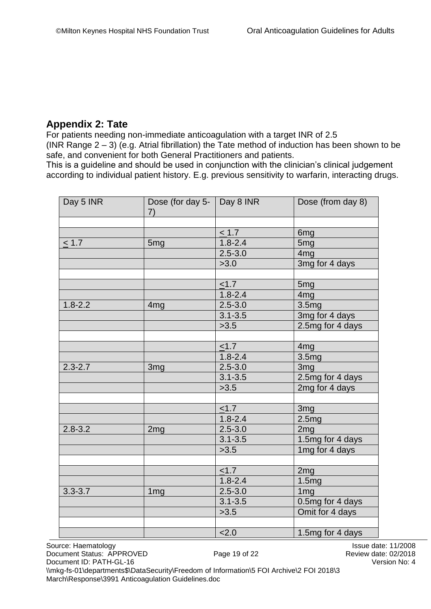### <span id="page-18-0"></span>**Appendix 2: Tate**

For patients needing non-immediate anticoagulation with a target INR of 2.5 (INR Range  $2 - 3$ ) (e.g. Atrial fibrillation) the Tate method of induction has been shown to be safe, and convenient for both General Practitioners and patients.

This is a guideline and should be used in conjunction with the clinician's clinical judgement according to individual patient history. E.g. previous sensitivity to warfarin, interacting drugs.

| Day 5 INR   | Dose (for day 5- $\vert$ Day 8 INR<br>7) |             | Dose (from day 8) |
|-------------|------------------------------------------|-------------|-------------------|
|             |                                          |             |                   |
|             |                                          | $\leq 1.7$  | 6mg               |
| $\leq 1.7$  | 5 <sub>mg</sub>                          | $1.8 - 2.4$ | 5 <sub>mg</sub>   |
|             |                                          | $2.5 - 3.0$ | 4 <sub>mg</sub>   |
|             |                                          | >3.0        | 3mg for 4 days    |
|             |                                          |             |                   |
|             |                                          | < 1.7       | 5 <sub>mg</sub>   |
|             |                                          | $1.8 - 2.4$ | 4 <sub>mg</sub>   |
| $1.8 - 2.2$ | 4mg                                      | $2.5 - 3.0$ | 3.5 <sub>mg</sub> |
|             |                                          | $3.1 - 3.5$ | 3mg for 4 days    |
|             |                                          | >3.5        | 2.5mg for 4 days  |
|             |                                          |             |                   |
|             |                                          | $\leq 1.7$  | 4 <sub>mg</sub>   |
|             |                                          | $1.8 - 2.4$ | 3.5 <sub>mg</sub> |
| $2.3 - 2.7$ | 3 <sub>mg</sub>                          | $2.5 - 3.0$ | 3mg               |
|             |                                          | $3.1 - 3.5$ | 2.5mg for 4 days  |
|             |                                          | >3.5        | 2mg for 4 days    |
|             |                                          |             |                   |
|             |                                          | $\leq 1.7$  | 3mg               |
|             |                                          | $1.8 - 2.4$ | 2.5mg             |
| $2.8 - 3.2$ | 2mg                                      | $2.5 - 3.0$ | 2mg               |
|             |                                          | $3.1 - 3.5$ | 1.5mg for 4 days  |
|             |                                          | >3.5        | 1mg for 4 days    |
|             |                                          |             |                   |
|             |                                          | < 1.7       | 2 <sub>mg</sub>   |
|             |                                          | $1.8 - 2.4$ | 1.5mg             |
| $3.3 - 3.7$ | 1 <sub>mg</sub>                          | $2.5 - 3.0$ | 1 <sub>mg</sub>   |
|             |                                          | $3.1 - 3.5$ | 0.5mg for 4 days  |
|             |                                          | >3.5        | Omit for 4 days   |
|             |                                          |             |                   |
|             |                                          | 2.0         | 1.5mg for 4 days  |

Source: Haematology **Issue date: 11/2008** Document Status: APPROVED Page 19 of 22 Review date: 02/2018 Document ID: PATH-GL-16 Version No: 4

\\mkg-fs-01\departments\$\DataSecurity\Freedom of Information\5 FOI Archive\2 FOI 2018\3 March\Response\3991 Anticoagulation Guidelines.doc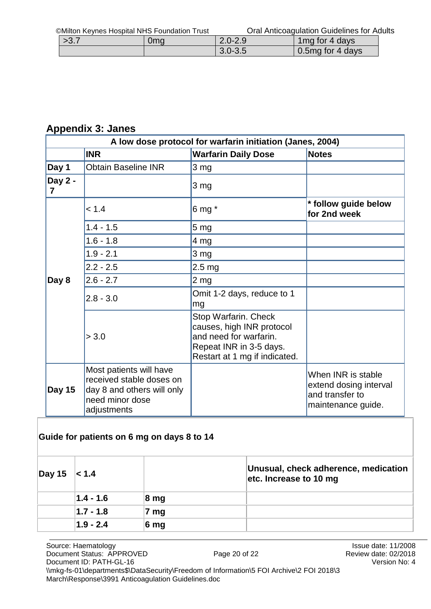| >3.7 | 0mg | $2.0 - 2.9$ | 1 mg for 4 days  |
|------|-----|-------------|------------------|
|      |     | $3.0 - 3.5$ | 0.5mg for 4 days |

# <span id="page-19-0"></span>**Appendix 3: Janes**

| A low dose protocol for warfarin initiation (Janes, 2004) |                                                                                                                     |                                                                                                                                         |                                                                                       |  |  |
|-----------------------------------------------------------|---------------------------------------------------------------------------------------------------------------------|-----------------------------------------------------------------------------------------------------------------------------------------|---------------------------------------------------------------------------------------|--|--|
|                                                           | <b>INR</b>                                                                                                          | <b>Warfarin Daily Dose</b>                                                                                                              | <b>Notes</b>                                                                          |  |  |
| Day 1                                                     | <b>Obtain Baseline INR</b>                                                                                          | $3 \text{ mg}$                                                                                                                          |                                                                                       |  |  |
| Day 2 -<br>7                                              |                                                                                                                     | $3 \, mg$                                                                                                                               |                                                                                       |  |  |
|                                                           | < 1.4                                                                                                               | 6 mg $*$                                                                                                                                | * follow guide below<br>for 2nd week                                                  |  |  |
|                                                           | $1.4 - 1.5$                                                                                                         | 5 <sub>mg</sub>                                                                                                                         |                                                                                       |  |  |
|                                                           | $1.6 - 1.8$                                                                                                         | $ 4 \text{ mg} $                                                                                                                        |                                                                                       |  |  |
|                                                           | $1.9 - 2.1$                                                                                                         | $3 \, mg$                                                                                                                               |                                                                                       |  |  |
|                                                           | $2.2 - 2.5$                                                                                                         | $2.5 \text{ mg}$                                                                                                                        |                                                                                       |  |  |
| Day 8                                                     | $2.6 - 2.7$                                                                                                         | 2 <sub>mg</sub>                                                                                                                         |                                                                                       |  |  |
|                                                           | $2.8 - 3.0$                                                                                                         | Omit 1-2 days, reduce to 1<br>mg                                                                                                        |                                                                                       |  |  |
|                                                           | > 3.0                                                                                                               | Stop Warfarin. Check<br>causes, high INR protocol<br>and need for warfarin.<br>Repeat INR in 3-5 days.<br>Restart at 1 mg if indicated. |                                                                                       |  |  |
| Day 15                                                    | Most patients will have<br>received stable doses on<br>day 8 and others will only<br>need minor dose<br>adjustments |                                                                                                                                         | When INR is stable<br>extend dosing interval<br>and transfer to<br>maintenance guide. |  |  |

### **Guide for patients on 6 mg on days 8 to 14**

| $ $ Day 15 < 1.4 |               |                  | Unusual, check adherence, medication<br>etc. Increase to 10 mg |
|------------------|---------------|------------------|----------------------------------------------------------------|
|                  | $ 1.4 - 1.6 $ | $ 8 \text{ mg} $ |                                                                |
|                  | $ 1.7 - 1.8 $ | mg               |                                                                |
|                  | $1.9 - 2.4$   | 6 <sub>mg</sub>  |                                                                |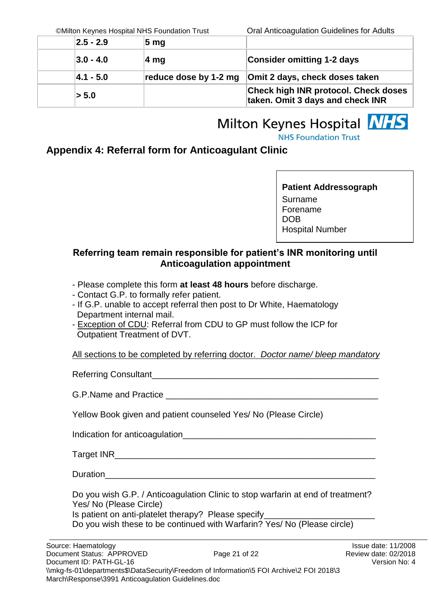| $ 2.5 - 2.9 $ | $5 \text{ mg}$        |                                                                                 |
|---------------|-----------------------|---------------------------------------------------------------------------------|
| $ 3.0 - 4.0 $ | ∣4 mg                 | <b>Consider omitting 1-2 days</b>                                               |
| $ 4.1 - 5.0 $ | reduce dose by 1-2 mg | Omit 2 days, check doses taken                                                  |
| > 5.0         |                       | <b>Check high INR protocol. Check doses</b><br>taken. Omit 3 days and check INR |

# Milton Keynes Hospital **NHS NHS Foundation Trust**

<span id="page-20-1"></span><span id="page-20-0"></span>**Appendix 4: Referral form for Anticoagulant Clinic**

**Patient Addressograph** Surname Forename DOB Hospital Number

### **Referring team remain responsible for patient's INR monitoring until Anticoagulation appointment**

- Please complete this form **at least 48 hours** before discharge.
- Contact G.P. to formally refer patient.
- If G.P. unable to accept referral then post to Dr White, Haematology Department internal mail.
- Exception of CDU: Referral from CDU to GP must follow the ICP for Outpatient Treatment of DVT.

Referring Consultant\_\_\_\_\_\_\_\_\_\_\_\_\_\_\_\_\_\_\_\_\_\_\_\_\_\_\_\_\_\_\_\_\_\_\_\_\_\_\_\_\_\_\_\_\_\_\_

G.P.Name and Practice **Example 20** and  $\overline{a}$  and  $\overline{b}$  and  $\overline{c}$  and  $\overline{d}$  and  $\overline{b}$  and  $\overline{c}$  and  $\overline{c}$  and  $\overline{c}$  and  $\overline{c}$  and  $\overline{c}$  and  $\overline{c}$  and  $\overline{c}$  and  $\overline{c}$  and  $\overline{c}$  and

Yellow Book given and patient counseled Yes/ No (Please Circle)

Indication for anticoagulation\_\_\_\_\_\_\_\_\_\_\_\_\_\_\_\_\_\_\_\_\_\_\_\_\_\_\_\_\_\_\_\_\_\_\_\_\_\_\_\_

Target INR

Duration

Do you wish G.P. / Anticoagulation Clinic to stop warfarin at end of treatment? Yes/ No (Please Circle) Is patient on anti-platelet therapy? Please specify Do you wish these to be continued with Warfarin? Yes/ No (Please circle)